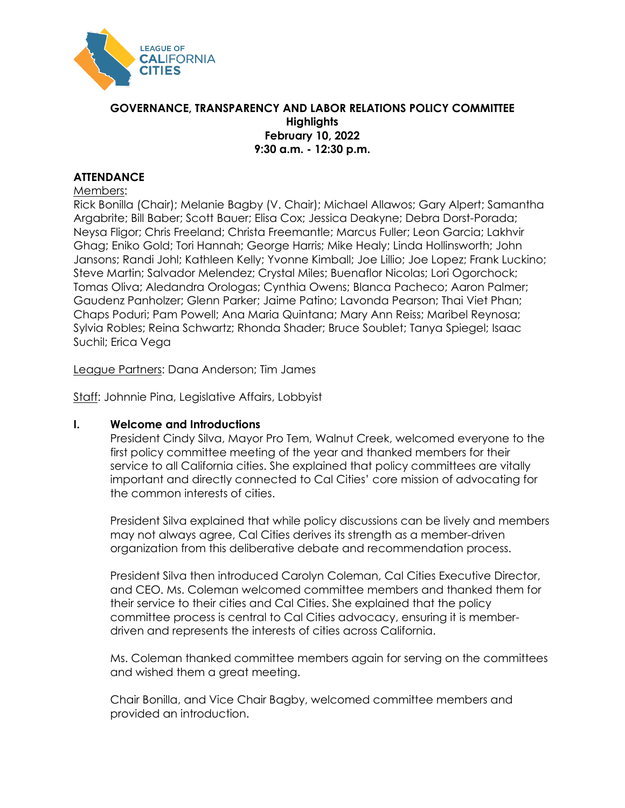

### **GOVERNANCE, TRANSPARENCY AND LABOR RELATIONS POLICY COMMITTEE Highlights February 10, 2022 9:30 a.m. - 12:30 p.m.**

## **ATTENDANCE**

#### Members:

Rick Bonilla (Chair); Melanie Bagby (V. Chair); Michael Allawos; Gary Alpert; Samantha Argabrite; Bill Baber; Scott Bauer; Elisa Cox; Jessica Deakyne; Debra Dorst-Porada; Neysa Fligor; Chris Freeland; Christa Freemantle; Marcus Fuller; Leon Garcia; Lakhvir Ghag; Eniko Gold; Tori Hannah; George Harris; Mike Healy; Linda Hollinsworth; John Jansons; Randi Johl; Kathleen Kelly; Yvonne Kimball; Joe Lillio; Joe Lopez; Frank Luckino; Steve Martin; Salvador Melendez; Crystal Miles; Buenaflor Nicolas; Lori Ogorchock; Tomas Oliva; Aledandra Orologas; Cynthia Owens; Blanca Pacheco; Aaron Palmer; Gaudenz Panholzer; Glenn Parker; Jaime Patino; Lavonda Pearson; Thai Viet Phan; Chaps Poduri; Pam Powell; Ana Maria Quintana; Mary Ann Reiss; Maribel Reynosa; Sylvia Robles; Reina Schwartz; Rhonda Shader; Bruce Soublet; Tanya Spiegel; Isaac Suchil; Erica Vega

League Partners: Dana Anderson; Tim James

Staff: Johnnie Pina, Legislative Affairs, Lobbyist

#### **I. Welcome and Introductions**

President Cindy Silva, Mayor Pro Tem, Walnut Creek, welcomed everyone to the first policy committee meeting of the year and thanked members for their service to all California cities. She explained that policy committees are vitally important and directly connected to Cal Cities' core mission of advocating for the common interests of cities.

President Silva explained that while policy discussions can be lively and members may not always agree, Cal Cities derives its strength as a member-driven organization from this deliberative debate and recommendation process.

President Silva then introduced Carolyn Coleman, Cal Cities Executive Director, and CEO. Ms. Coleman welcomed committee members and thanked them for their service to their cities and Cal Cities. She explained that the policy committee process is central to Cal Cities advocacy, ensuring it is memberdriven and represents the interests of cities across California.

Ms. Coleman thanked committee members again for serving on the committees and wished them a great meeting.

Chair Bonilla, and Vice Chair Bagby, welcomed committee members and provided an introduction.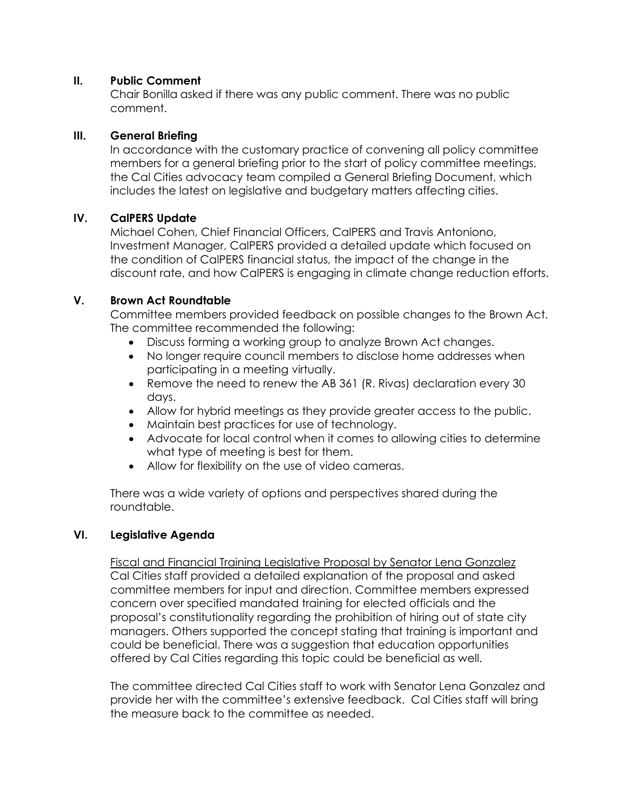## **II. Public Comment**

Chair Bonilla asked if there was any public comment. There was no public comment.

## **III. General Briefing**

In accordance with the customary practice of convening all policy committee members for a general briefing prior to the start of policy committee meetings, the Cal Cities advocacy team compiled a General Briefing Document, which includes the latest on legislative and budgetary matters affecting cities.

# **IV. CalPERS Update**

Michael Cohen, Chief Financial Officers, CalPERS and Travis Antoniono, Investment Manager, CalPERS provided a detailed update which focused on the condition of CalPERS financial status, the impact of the change in the discount rate, and how CalPERS is engaging in climate change reduction efforts.

## **V. Brown Act Roundtable**

Committee members provided feedback on possible changes to the Brown Act. The committee recommended the following:

- Discuss forming a working group to analyze Brown Act changes.
- No longer require council members to disclose home addresses when participating in a meeting virtually.
- Remove the need to renew the AB 361 (R. Rivas) declaration every 30 days.
- Allow for hybrid meetings as they provide greater access to the public.
- Maintain best practices for use of technology.
- Advocate for local control when it comes to allowing cities to determine what type of meeting is best for them.
- Allow for flexibility on the use of video cameras.

There was a wide variety of options and perspectives shared during the roundtable.

#### **VI. Legislative Agenda**

Fiscal and Financial Training Legislative Proposal by Senator Lena Gonzalez Cal Cities staff provided a detailed explanation of the proposal and asked committee members for input and direction. Committee members expressed concern over specified mandated training for elected officials and the proposal's constitutionality regarding the prohibition of hiring out of state city managers. Others supported the concept stating that training is important and could be beneficial. There was a suggestion that education opportunities offered by Cal Cities regarding this topic could be beneficial as well.

The committee directed Cal Cities staff to work with Senator Lena Gonzalez and provide her with the committee's extensive feedback. Cal Cities staff will bring the measure back to the committee as needed.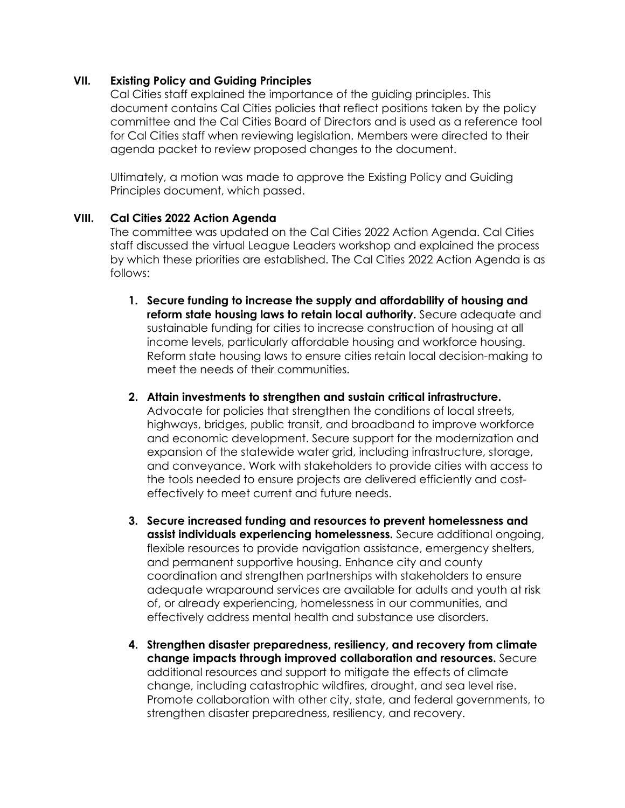### **VII. Existing Policy and Guiding Principles**

Cal Cities staff explained the importance of the guiding principles. This document contains Cal Cities policies that reflect positions taken by the policy committee and the Cal Cities Board of Directors and is used as a reference tool for Cal Cities staff when reviewing legislation. Members were directed to their agenda packet to review proposed changes to the document.

Ultimately, a motion was made to approve the Existing Policy and Guiding Principles document, which passed.

## **VIII. Cal Cities 2022 Action Agenda**

The committee was updated on the Cal Cities 2022 Action Agenda. Cal Cities staff discussed the virtual League Leaders workshop and explained the process by which these priorities are established. The Cal Cities 2022 Action Agenda is as follows:

- **1. Secure funding to increase the supply and affordability of housing and reform state housing laws to retain local authority.** Secure adequate and sustainable funding for cities to increase construction of housing at all income levels, particularly affordable housing and workforce housing. Reform state housing laws to ensure cities retain local decision-making to meet the needs of their communities.
- **2. Attain investments to strengthen and sustain critical infrastructure.**  Advocate for policies that strengthen the conditions of local streets, highways, bridges, public transit, and broadband to improve workforce and economic development. Secure support for the modernization and expansion of the statewide water grid, including infrastructure, storage, and conveyance. Work with stakeholders to provide cities with access to the tools needed to ensure projects are delivered efficiently and costeffectively to meet current and future needs.
- **3. Secure increased funding and resources to prevent homelessness and assist individuals experiencing homelessness.** Secure additional ongoing, flexible resources to provide navigation assistance, emergency shelters, and permanent supportive housing. Enhance city and county coordination and strengthen partnerships with stakeholders to ensure adequate wraparound services are available for adults and youth at risk of, or already experiencing, homelessness in our communities, and effectively address mental health and substance use disorders.
- **4. Strengthen disaster preparedness, resiliency, and recovery from climate change impacts through improved collaboration and resources.** Secure additional resources and support to mitigate the effects of climate change, including catastrophic wildfires, drought, and sea level rise. Promote collaboration with other city, state, and federal governments, to strengthen disaster preparedness, resiliency, and recovery.